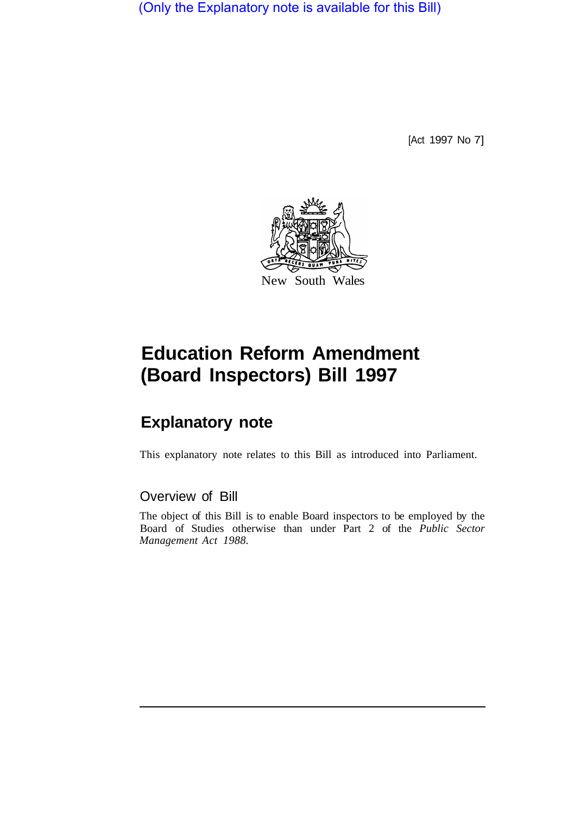(Only the Explanatory note is available for this Bill)

[Act 1997 No 7]



# **Education Reform Amendment (Board Inspectors) Bill 1997**

# **Explanatory note**

This explanatory note relates to this Bill as introduced into Parliament.

## Overview of Bill

The object of this Bill is to enable Board inspectors to be employed by the Board of Studies otherwise than under Part 2 of the *Public Sector Management Act 1988.*